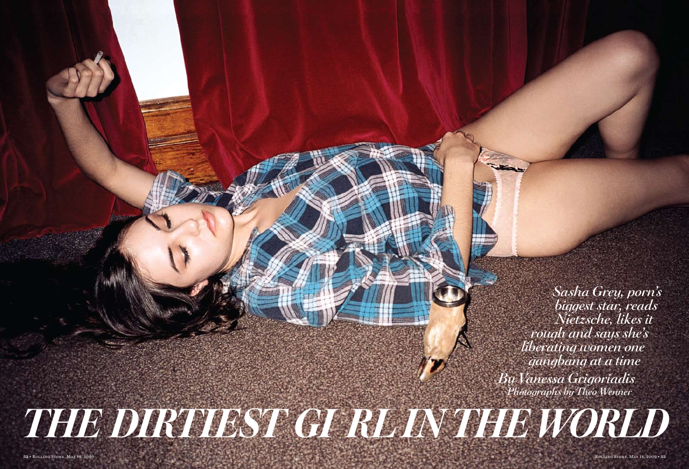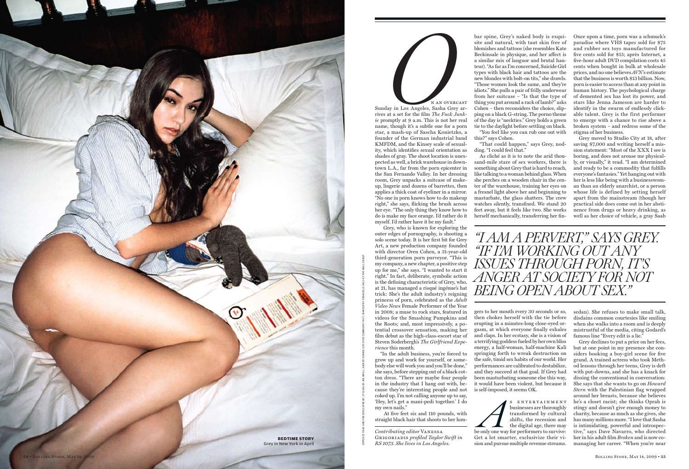*Contributing editor* Vanessa Grigoriadis *profiled Taylor Swift in* 

Sunday in Los Angeles, Sasha Grey ar rives at a set for the film *The Fuck Junk ie* promptly at 9 a.m. This is not her real name, though it's a subtle one for a porn star, a mash-up of Sascha Konietzko, a founder of the German industrial band KMFDM, and the Kinsey scale of sexual ity, which identifies sexual orientation as shades of gray. The shoot location is unex pected as well, a brick warehouse in down town L.A., far from the porn epicenter in the San Fernando Valley. In her dressing room, Grey unpacks a suitcase of make up, lingerie and dozens of barrettes, then applies a thick coat of eyeliner in a mirror. "No one in porn knows how to do makeup right," she says, flicking the brush across her eye. "The only thing they know how to do is make my face orange. I'd rather do it myself. I'd rather have it be my fault."

**Stractaring the State of the State State State of the state of the state of the state of the state in a math-up of Sascha Care and the state in this is not be reached for an an orbit of the cerman industrial band found<br>t**  Grey, who is known for exploring the outer edges of pornography, is shooting a solo scene today. It is her first bit for Grey Art, a new production company founded with director Oren Cohen, a 31-year-old third-generation porn purveyor. "This is my company, a new chapter, a positive step up for me," she says. "I wanted to start it right." In fact, deliberate, symbolic action is the defining characteristic of Grey, who, at 21, has managed a risqué ingénue's hat trick: She's the adult industry's reigning princess of porn, celebrated as the *Adult Video News* Female Performer of the Year in 2008; a muse to rock stars, featured in videos for the Smashing Pumpkins and the Roots; and, most impressively, a po tential crossover sensation, making her film debut as the high-class-escort star of Steven Soderbergh's *The Girlfriend Expe rience* this month.

"In the adult business, you're forced to grow up and work for yourself, or some body else will work you and you'll be done," she says, before stepping out of a black cot ton dress. "There are maybe four people in the industry that I hang out with, be cause they're interesting people and not coked up. I'm not calling anyone up to say, 'Hey, let's get a mani-pedi together.' I do my own nails."

**AS ENTERTAINMENT**<br>businesses are thoroughly<br>transformed by cultural<br>shifts, the recession and<br>the digital age, there may<br>be only one way for performers to survive: businesses are thoroughly transformed by cultural shifts, the recession and the digital age, there may Get a lot smarter, exclusivize their vi sion and pursue multiple revenue streams.

 At five feet six and 110 pounds, with straight black hair that shoots to her lum -

Once upon a time, porn was a schmuck's paradise where VHS tapes sold for \$75 and rubber sex toys manufactured for five cents sold for \$15; après Internet, a five-hour adult DVD compilation costs 45 cents when bought in bulk at wholesale prices, and no one believes *AVN'*s estimate that the business is worth \$13 billion. Now, porn is easier to access than at any point in human history. The psychological charge of demented sex has lost its power, and stars like Jenna Jameson are harder to identify in the swarm of endlessly clickable talent. Grey is the first performer to emerge with a chance to rise above a broken system – and redress some of the stigma of her business.

Grey moved to Studio City at 18, after saving \$7,000 and writing herself a mis sion statement: "Most of the XXX I see is boring, and does not arouse me physical ly, or visually," it read. "I am determined and ready to be a commodity that fulfills everyone's fantasies." Yet hanging out with her is less like being with a businesswom an than an elderly anarchist, or a person whose life is defined by setting herself apart from the mainstream (though her practical side does come out in her absti nence from drugs or heavy drinking, as well as her choice of vehicle, a gray Saab

gers to her mouth every 30 seconds or so, then chokes herself with the tie before erupting in a minutes-long close-eyed or gasm, at which everyone finally exhales and claps. In her ecstasy, she is a vision of a terrifying goddess fueled by her own bliss energy, a half-woman, half-machine Kali springing forth to wreak destruction on the safe, timid sex habits of our world. Her performances are calibrated to destabilize, and they succeed at that goal. If Grey had been masturbating someone else this way, it would have been violent, but because it is self-imposed, it seems OK.

sedan). She refuses to make small talk, disdains common courtesies like smiling when she walks into a room and is deeply mistrustful of the media, citing Godard's famous line "Every edit is a lie."

Grey declines to put a price on her fees, but at one point in my presence she con siders booking a boy-girl scene for five grand. A trained actress who took Meth od lessons through her teens, Grey is deft with put-downs, and she has a knack for dissing the conventional in conversation: She says that she wants to go on *Howard Stern* with the Palestinian flag wrapped around her breasts, because she believes he's a closet racist; she thinks Oprah is stingy and doesn't give enough money to charity, because as much as she gives, she has many millions more. "I love that Sasha is intimidating, powerful and introspec tive," says Dave Navarro, who directed her in his adult film *Broken* and is now comanaging her career. "When you're near



bar spine, Grey's naked body is exqui site and natural, with taut skin free of blemishes and tattoos (she resembles Kate Beckinsale in physique, and her affect is a similar mix of languor and brutal hau teur). "As far as I'm concerned, Suicide Girl types with black hair and tattoos are the new blondes with bolt-on tits," she drawls. "Those women look the same, and they're idiots." She pulls a pair of frilly underwear from her suitcase – "Is that the type of thing you put around a rack of lamb?" asks Cohen – then reconsiders the choice, slip ping on a black G-string. The porno theme of the day is "neckties." Grey holds a green tie to the daylight before settling on black. "You feel like you can rub one out with

this?" says Cohen. "That could happen," says Grey, nod ding. "I could feel that."

As cliché as it is to note the arid thou sand-mile stare of sex workers, there is something about Grey that is hard to reach, like talking to a woman behind glass. When she perches on a wooden chair in the cen ter of the warehouse, training her eyes on a fresnel light above her and beginning to masturbate, the glass shatters. The crew watches silently, transfixed. We stand 20 feet away, but it feels like two. She works herself mechanically, transferring her fin -